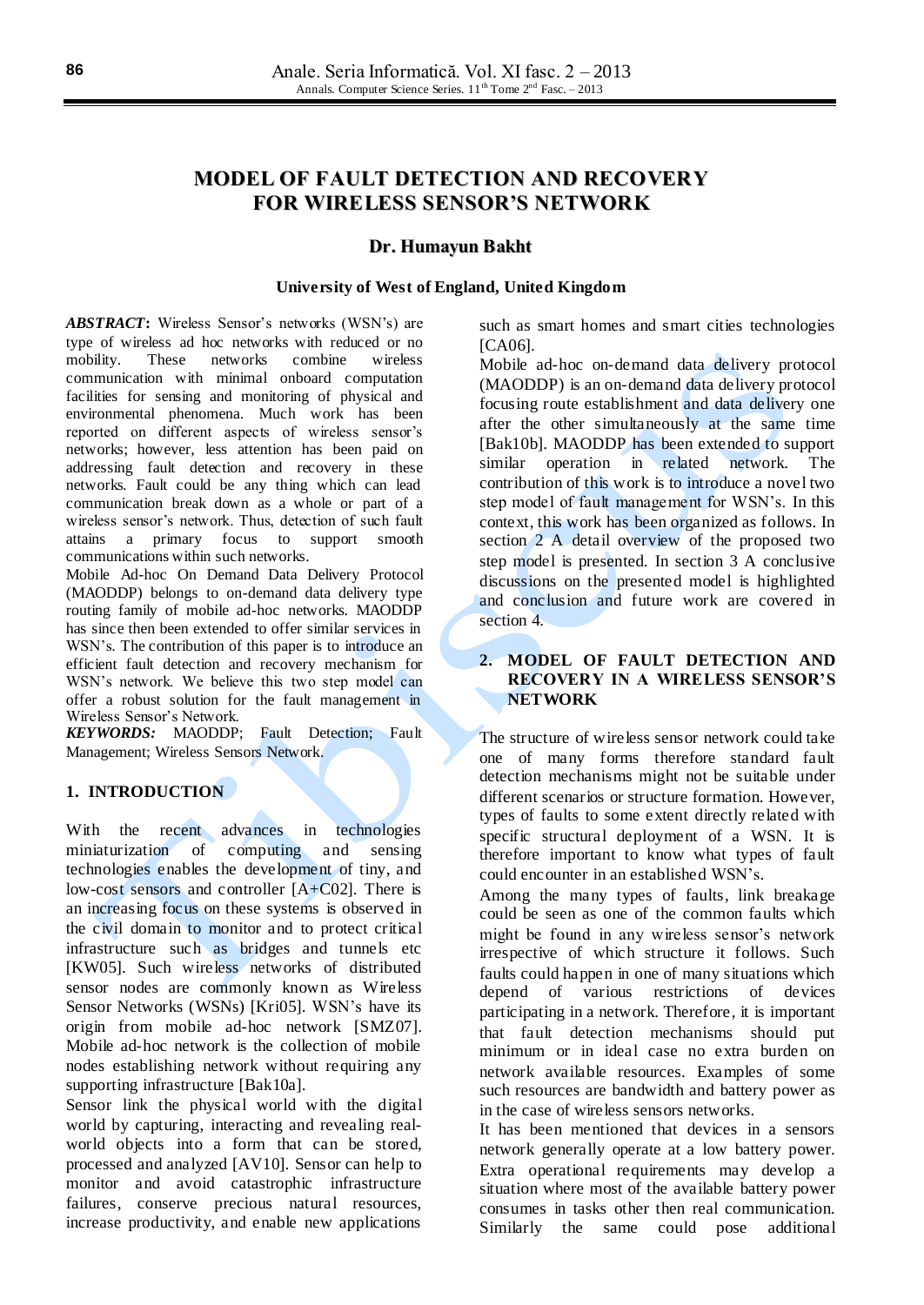# **MODEL OF FAULT DETECTION AND RECOVERY FOR WIRELESS SENSOR'S NETWORK**

#### **Dr. Humayun Bakht**

#### **University of West of England, United Kingdom**

*ABSTRACT***:** Wireless Sensor's networks (WSN's) are type of wireless ad hoc networks with reduced or no mobility. These networks combine wireless communication with minimal onboard computation facilities for sensing and monitoring of physical and environmental phenomena. Much work has been reported on different aspects of wireless sensor's networks; however, less attention has been paid on addressing fault detection and recovery in these networks. Fault could be any thing which can lead communication break down as a whole or part of a wireless sensor's network. Thus, detection of such fault attains a primary focus to support smooth communications within such networks.

Mobile Ad-hoc On Demand Data Delivery Protocol (MAODDP) belongs to on-demand data delivery type routing family of mobile ad-hoc networks. MAODDP has since then been extended to offer similar services in WSN's. The contribution of this paper is to introduce an efficient fault detection and recovery mechanism for WSN's network. We believe this two step model can offer a robust solution for the fault management in Wireless Sensor's Network.

*KEYWORDS:* MAODDP; Fault Detection; Fault Management; Wireless Sensors Network.

## **1. INTRODUCTION**

With the recent advances in technologies miniaturization of computing and sensing technologies enables the development of tiny, and low-cost sensors and controller [A+C02]. There is an increasing focus on these systems is observed in the civil domain to monitor and to protect critical infrastructure such as bridges and tunnels etc [KW05]. Such wireless networks of distributed sensor nodes are commonly known as Wireless Sensor Networks (WSNs) [Kri05]. WSN's have its origin from mobile ad-hoc network [SMZ07]. Mobile ad-hoc network is the collection of mobile nodes establishing network without requiring any supporting infrastructure [Bak10a].

Sensor link the physical world with the digital world by capturing, interacting and revealing realworld objects into a form that can be stored, processed and analyzed [AV10]. Sensor can help to monitor and avoid catastrophic infrastructure failures, conserve precious natural resources, increase productivity, and enable new applications

such as smart homes and smart cities technologies [CA06].

Mobile ad-hoc on-demand data delivery protocol (MAODDP) is an on-demand data delivery protocol focusing route establishment and data delivery one after the other simultaneously at the same time [Bak10b]. MAODDP has been extended to support similar operation in related network. The contribution of this work is to introduce a novel two step model of fault management for WSN's. In this context, this work has been organized as follows. In section 2 A detail overview of the proposed two step model is presented. In section 3 A conclusive discussions on the presented model is highlighted and conclusion and future work are covered in section 4.

## **2. MODEL OF FAULT DETECTION AND RECOVERY IN A WIRELESS SENSOR'S NETWORK**

The structure of wireless sensor network could take one of many forms therefore standard fault detection mechanisms might not be suitable under different scenarios or structure formation. However, types of faults to some extent directly related with specific structural deployment of a WSN. It is therefore important to know what types of fault could encounter in an established WSN's.

Among the many types of faults, link breakage could be seen as one of the common faults which might be found in any wireless sensor's network irrespective of which structure it follows. Such faults could happen in one of many situations which depend of various restrictions of devices participating in a network. Therefore, it is important that fault detection mechanisms should put minimum or in ideal case no extra burden on network available resources. Examples of some such resources are bandwidth and battery power as in the case of wireless sensors networks.

It has been mentioned that devices in a sensors network generally operate at a low battery power. Extra operational requirements may develop a situation where most of the available battery power consumes in tasks other then real communication. Similarly the same could pose additional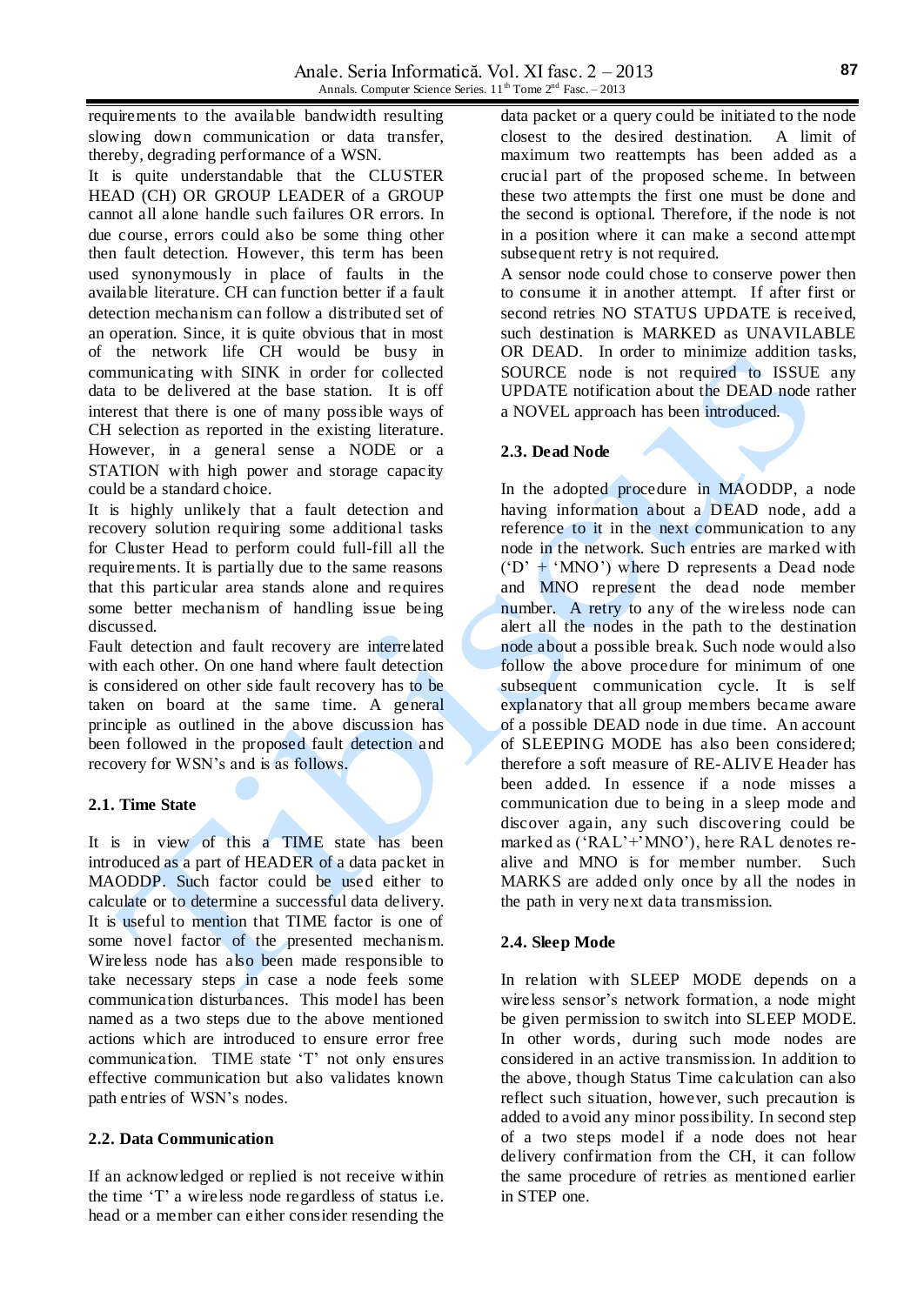requirements to the available bandwidth resulting slowing down communication or data transfer, thereby, degrading performance of a WSN.

It is quite understandable that the CLUSTER HEAD (CH) OR GROUP LEADER of a GROUP cannot all alone handle such failures OR errors. In due course, errors could also be some thing other then fault detection. However, this term has been used synonymously in place of faults in the available literature. CH can function better if a fault detection mechanism can follow a distributed set of an operation. Since, it is quite obvious that in most of the network life CH would be busy in communicating with SINK in order for collected data to be delivered at the base station. It is off interest that there is one of many possible ways of CH selection as reported in the existing literature. However, in a general sense a NODE or a STATION with high power and storage capacity could be a standard choice.

It is highly unlikely that a fault detection and recovery solution requiring some additional tasks for Cluster Head to perform could full-fill all the requirements. It is partially due to the same reasons that this particular area stands alone and requires some better mechanism of handling issue being discussed.

Fault detection and fault recovery are interrelated with each other. On one hand where fault detection is considered on other side fault recovery has to be taken on board at the same time. A general principle as outlined in the above discussion has been followed in the proposed fault detection and recovery for WSN's and is as follows.

# **2.1. Time State**

It is in view of this a TIME state has been introduced as a part of HEADER of a data packet in MAODDP. Such factor could be used either to calculate or to determine a successful data delivery. It is useful to mention that TIME factor is one of some novel factor of the presented mechanism. Wireless node has also been made responsible to take necessary steps in case a node feels some communication disturbances. This model has been named as a two steps due to the above mentioned actions which are introduced to ensure error free communication. TIME state 'T' not only ensures effective communication but also validates known path entries of WSN's nodes.

#### **2.2. Data Communication**

If an acknowledged or replied is not receive within the time 'T' a wireless node regardless of status i.e. head or a member can either consider resending the

data packet or a query could be initiated to the node closest to the desired destination. A limit of maximum two reattempts has been added as a crucial part of the proposed scheme. In between these two attempts the first one must be done and the second is optional. Therefore, if the node is not in a position where it can make a second attempt subsequent retry is not required.

A sensor node could chose to conserve power then to consume it in another attempt. If after first or second retries NO STATUS UPDATE is received, such destination is MARKED as UNAVILABLE OR DEAD. In order to minimize addition tasks, SOURCE node is not required to ISSUE any UPDATE notification about the DEAD node rather a NOVEL approach has been introduced.

## **2.3. Dead Node**

In the adopted procedure in MAODDP, a node having information about a DEAD node, add a reference to it in the next communication to any node in the network. Such entries are marked with  $(°D' + 'MNO')$  where D represents a Dead node and MNO represent the dead node member number. A retry to any of the wireless node can alert all the nodes in the path to the destination node about a possible break. Such node would also follow the above procedure for minimum of one subsequent communication cycle. It is self explanatory that all group members became aware of a possible DEAD node in due time. An account of SLEEPING MODE has also been considered; therefore a soft measure of RE-ALIVE Header has been added. In essence if a node misses a communication due to being in a sleep mode and discover again, any such discovering could be marked as ('RAL'+'MNO'), here RAL denotes realive and MNO is for member number. Such MARKS are added only once by all the nodes in the path in very next data transmission.

## **2.4. Sleep Mode**

In relation with SLEEP MODE depends on a wireless sensor's network formation, a node might be given permission to switch into SLEEP MODE. In other words, during such mode nodes are considered in an active transmission. In addition to the above, though Status Time calculation can also reflect such situation, however, such precaution is added to avoid any minor possibility. In second step of a two steps model if a node does not hear delivery confirmation from the CH, it can follow the same procedure of retries as mentioned earlier in STEP one.